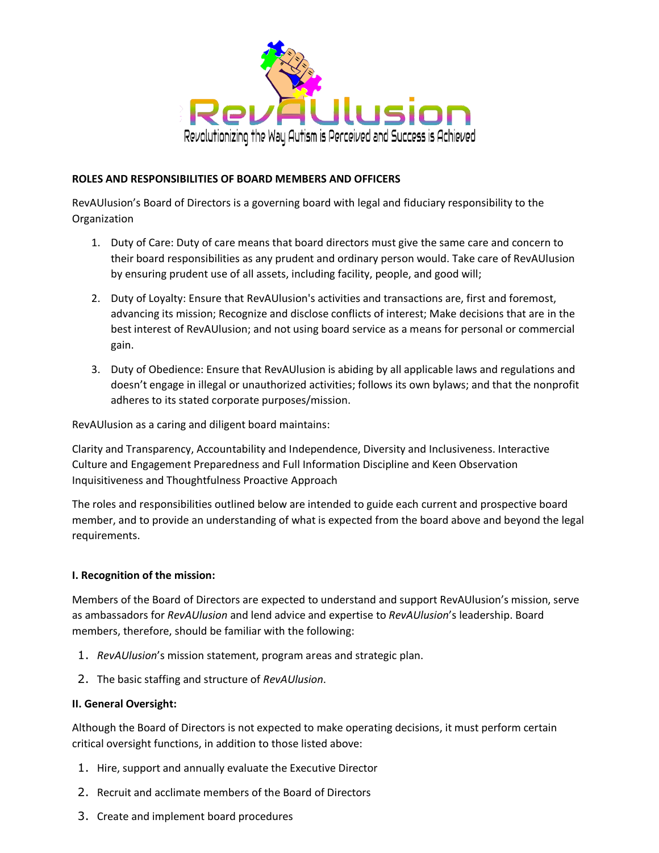

## **ROLES AND RESPONSIBILITIES OF BOARD MEMBERS AND OFFICERS**

RevAUlusion's Board of Directors is a governing board with legal and fiduciary responsibility to the **Organization** 

- 1. Duty of Care: Duty of care means that board directors must give the same care and concern to their board responsibilities as any prudent and ordinary person would. Take care of RevAUlusion by ensuring prudent use of all assets, including facility, people, and good will;
- 2. Duty of Loyalty: Ensure that RevAUlusion's activities and transactions are, first and foremost, advancing its mission; Recognize and disclose conflicts of interest; Make decisions that are in the best interest of RevAUlusion; and not using board service as a means for personal or commercial gain.
- 3. Duty of Obedience: Ensure that RevAUlusion is abiding by all applicable laws and regulations and doesn't engage in illegal or unauthorized activities; follows its own bylaws; and that the nonprofit adheres to its stated corporate purposes/mission.

RevAUlusion as a caring and diligent board maintains:

Clarity and Transparency, Accountability and Independence, Diversity and Inclusiveness. Interactive Culture and Engagement Preparedness and Full Information Discipline and Keen Observation Inquisitiveness and Thoughtfulness Proactive Approach

The roles and responsibilities outlined below are intended to guide each current and prospective board member, and to provide an understanding of what is expected from the board above and beyond the legal requirements.

## **I. Recognition of the mission:**

Members of the Board of Directors are expected to understand and support RevAUlusion's mission, serve as ambassadors for *RevAUlusion* and lend advice and expertise to *RevAUlusion*'s leadership. Board members, therefore, should be familiar with the following:

- 1. *RevAUlusion*'s mission statement, program areas and strategic plan.
- 2. The basic staffing and structure of *RevAUlusion*.

## **II. General Oversight:**

Although the Board of Directors is not expected to make operating decisions, it must perform certain critical oversight functions, in addition to those listed above:

- 1. Hire, support and annually evaluate the Executive Director
- 2. Recruit and acclimate members of the Board of Directors
- 3. Create and implement board procedures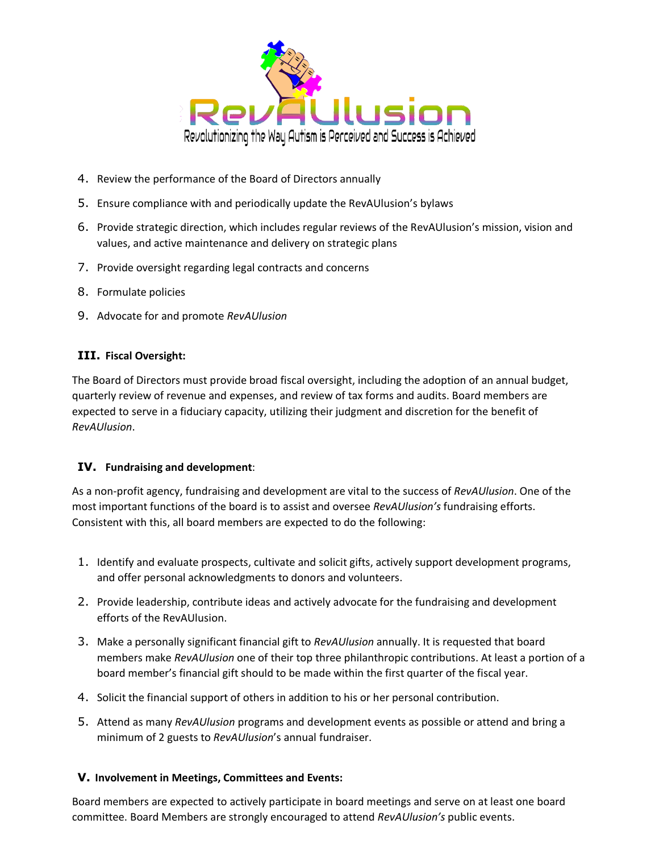

- 4. Review the performance of the Board of Directors annually
- 5. Ensure compliance with and periodically update the RevAUlusion's bylaws
- 6. Provide strategic direction, which includes regular reviews of the RevAUlusion's mission, vision and values, and active maintenance and delivery on strategic plans
- 7. Provide oversight regarding legal contracts and concerns
- 8. Formulate policies
- 9. Advocate for and promote *RevAUlusion*

# **III. Fiscal Oversight:**

The Board of Directors must provide broad fiscal oversight, including the adoption of an annual budget, quarterly review of revenue and expenses, and review of tax forms and audits. Board members are expected to serve in a fiduciary capacity, utilizing their judgment and discretion for the benefit of *RevAUlusion*.

## **IV. Fundraising and development**:

As a non-profit agency, fundraising and development are vital to the success of *RevAUlusion*. One of the most important functions of the board is to assist and oversee *RevAUlusion's* fundraising efforts. Consistent with this, all board members are expected to do the following:

- 1. Identify and evaluate prospects, cultivate and solicit gifts, actively support development programs, and offer personal acknowledgments to donors and volunteers.
- 2. Provide leadership, contribute ideas and actively advocate for the fundraising and development efforts of the RevAUlusion.
- 3. Make a personally significant financial gift to *RevAUlusion* annually. It is requested that board members make *RevAUlusion* one of their top three philanthropic contributions. At least a portion of a board member's financial gift should to be made within the first quarter of the fiscal year.
- 4. Solicit the financial support of others in addition to his or her personal contribution.
- 5. Attend as many *RevAUlusion* programs and development events as possible or attend and bring a minimum of 2 guests to *RevAUlusion*'s annual fundraiser.

## **V. Involvement in Meetings, Committees and Events:**

Board members are expected to actively participate in board meetings and serve on at least one board committee. Board Members are strongly encouraged to attend *RevAUlusion's* public events.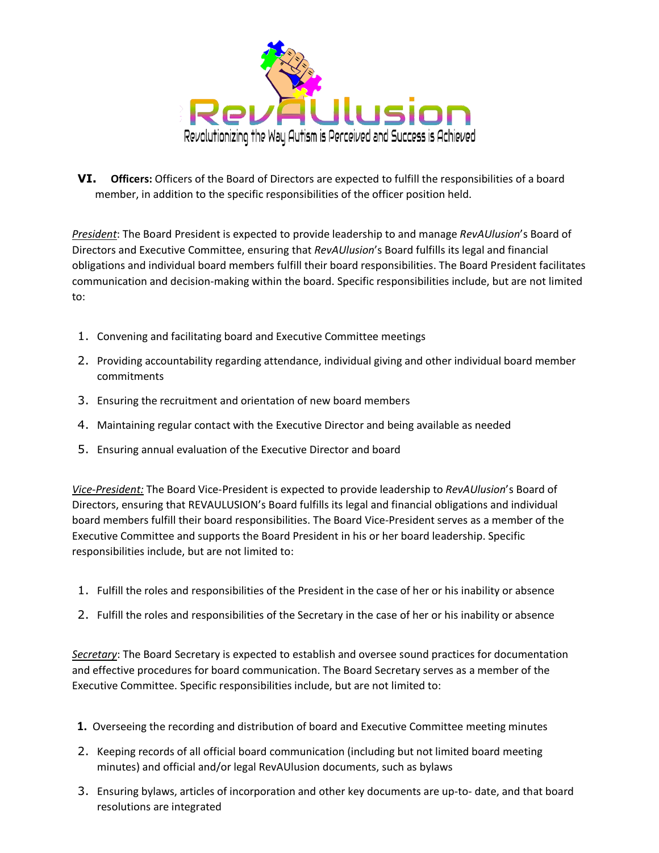

**VI. Officers:** Officers of the Board of Directors are expected to fulfill the responsibilities of a board member, in addition to the specific responsibilities of the officer position held.

*President*: The Board President is expected to provide leadership to and manage *RevAUlusion*'s Board of Directors and Executive Committee, ensuring that *RevAUlusion*'s Board fulfills its legal and financial obligations and individual board members fulfill their board responsibilities. The Board President facilitates communication and decision-making within the board. Specific responsibilities include, but are not limited to:

- 1. Convening and facilitating board and Executive Committee meetings
- 2. Providing accountability regarding attendance, individual giving and other individual board member commitments
- 3. Ensuring the recruitment and orientation of new board members
- 4. Maintaining regular contact with the Executive Director and being available as needed
- 5. Ensuring annual evaluation of the Executive Director and board

*Vice-President:* The Board Vice-President is expected to provide leadership to *RevAUlusion*'s Board of Directors, ensuring that REVAULUSION's Board fulfills its legal and financial obligations and individual board members fulfill their board responsibilities. The Board Vice-President serves as a member of the Executive Committee and supports the Board President in his or her board leadership. Specific responsibilities include, but are not limited to:

- 1. Fulfill the roles and responsibilities of the President in the case of her or his inability or absence
- 2. Fulfill the roles and responsibilities of the Secretary in the case of her or his inability or absence

*Secretary*: The Board Secretary is expected to establish and oversee sound practices for documentation and effective procedures for board communication. The Board Secretary serves as a member of the Executive Committee. Specific responsibilities include, but are not limited to:

- **1.** Overseeing the recording and distribution of board and Executive Committee meeting minutes
- 2. Keeping records of all official board communication (including but not limited board meeting minutes) and official and/or legal RevAUlusion documents, such as bylaws
- 3. Ensuring bylaws, articles of incorporation and other key documents are up-to- date, and that board resolutions are integrated